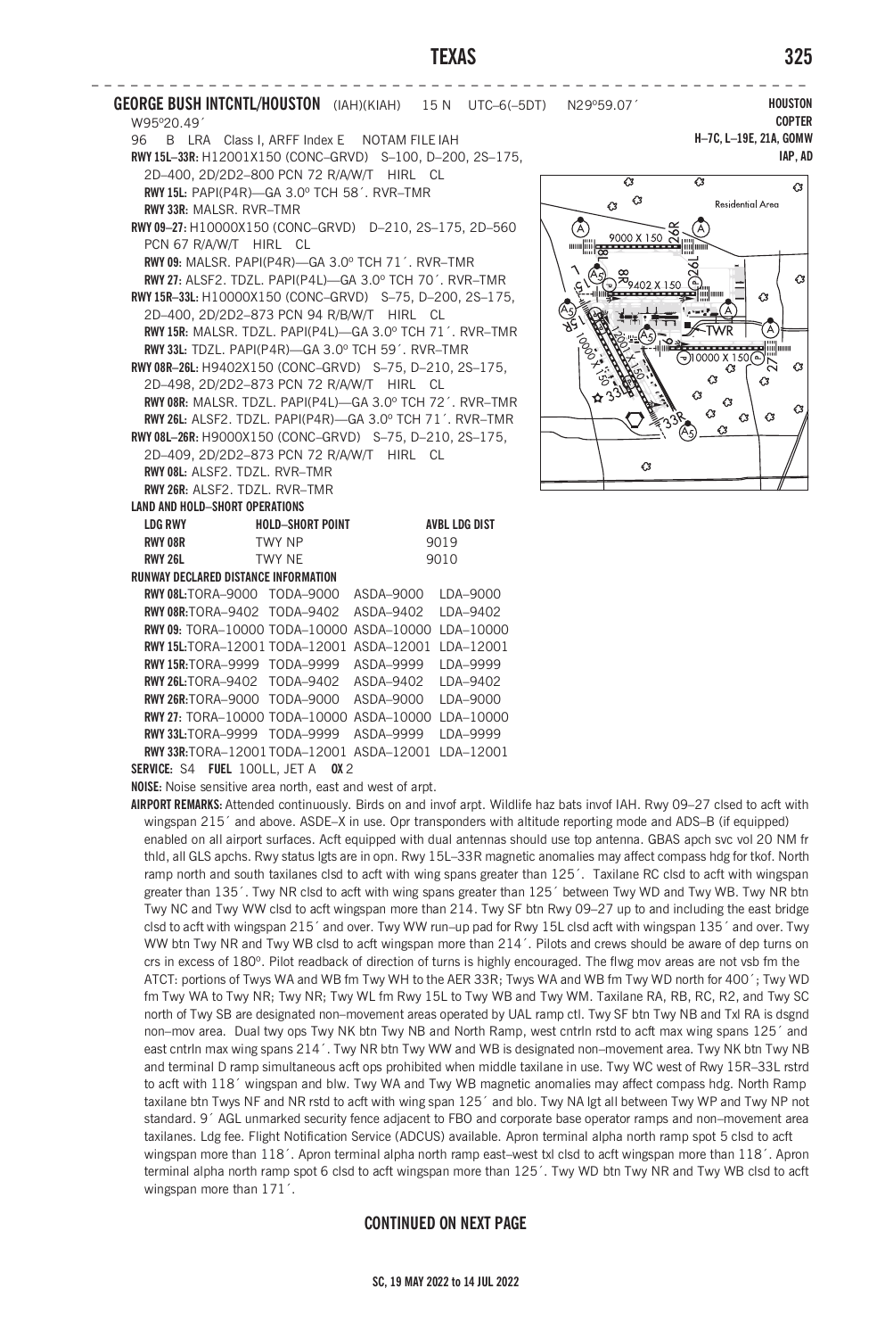## **TEXAS 325**

**– – – – – – – – – – – – – – – – – – – – – – – – – – – – – – – – – – – – – – – – – – – – – – – – – – – – – – – GEORGE BUSH INTCNTL/HOUSTON** (IAH)(KIAH) 15 N UTC–6(–5DT) N29º59.07´ W95º20.49´ 96 B LRA Class I, ARFF Index E NOTAM FILE IAH **RWY 15L–33R:** H12001X150 (CONC–GRVD) S–100, D–200, 2S–175, 2D–400, 2D/2D2–800 PCN 72 R/A/W/T HIRL CL **RWY 15L:** PAPI(P4R)—GA 3.0º TCH 58´. RVR–TMR **RWY 33R:** MALSR. RVR–TMR **RWY 09–27:** H10000X150 (CONC–GRVD) D–210, 2S–175, 2D–560 PCN 67 R/A/W/T HIRL CL **RWY 09:** MALSR. PAPI(P4R)—GA 3.0º TCH 71´. RVR–TMR **RWY 27:** ALSF2. TDZL. PAPI(P4L)—GA 3.0º TCH 70´. RVR–TMR **RWY 15R–33L:** H10000X150 (CONC–GRVD) S–75, D–200, 2S–175, 2D–400, 2D/2D2–873 PCN 94 R/B/W/T HIRL CL **RWY 15R:** MALSR. TDZL. PAPI(P4L)—GA 3.0º TCH 71´. RVR–TMR **RWY 33L:** TDZL. PAPI(P4R)—GA 3.0º TCH 59´. RVR–TMR **RWY 08R–26L:** H9402X150 (CONC–GRVD) S–75, D–210, 2S–175, 2D–498, 2D/2D2–873 PCN 72 R/A/W/T HIRL CL **RWY 08R:** MALSR. TDZL. PAPI(P4L)—GA 3.0º TCH 72´. RVR–TMR **RWY 26L:** ALSF2. TDZL. PAPI(P4R)—GA 3.0º TCH 71´. RVR–TMR **RWY 08L–26R:** H9000X150 (CONC–GRVD) S–75, D–210, 2S–175, 2D–409, 2D/2D2–873 PCN 72 R/A/W/T HIRL CL **RWY 08L:** ALSF2. TDZL. RVR–TMR **RWY 26R:** ALSF2. TDZL. RVR–TMR **LAND AND HOLD–SHORT OPERATIONS LDG RWY HOLD–SHORT POINT AVBL LDG DIST RWY 08R** TWY NP 9019 **RWY 26L TWY NF 9010 RUNWAY DECLARED DISTANCE INFORMATION RWY 08L:**TORA–9000 TODA–9000 ASDA–9000 LDA–9000 **RWY 08R:**TORA–9402 TODA–9402 ASDA–9402 LDA–9402 **RWY 09:** TORA–10000 TODA–10000 ASDA–10000 LDA–10000 **RWY 15L:**TORA–12001 TODA–12001 ASDA–12001 LDA–12001 **RWY 15R:**TORA–9999 TODA–9999 ASDA–9999 LDA–9999 **RWY 26L:**TORA–9402 TODA–9402 ASDA–9402 LDA–9402 **RWY 26R:**TORA–9000 TODA–9000 ASDA–9000 LDA–9000 **RWY 27:** TORA–10000 TODA–10000 ASDA–10000 LDA–10000 **RWY 33L:**TORA–9999 TODA–9999 ASDA–9999 LDA–9999 **RWY 33R:**TORA–12001TODA–12001 ASDA–12001 LDA–12001

**SERVICE:** S4 **FUEL** 100LL, JET A **OX** 2

**NOISE:** Noise sensitive area north, east and west of arpt.

**AIRPORT REMARKS:** Attended continuously. Birds on and invof arpt. Wildlife haz bats invof IAH. Rwy 09–27 clsed to acft with wingspan 215<sup>°</sup> and above. ASDE–X in use. Opr transponders with altitude reporting mode and ADS–B (if equipped) enabled on all airport surfaces. Acft equipped with dual antennas should use top antenna. GBAS apch svc vol 20 NM fr thld, all GLS apchs. Rwy status lgts are in opn. Rwy 15L–33R magnetic anomalies may affect compass hdg for tkof. North ramp north and south taxilanes clsd to acft with wing spans greater than 125´. Taxilane RC clsd to acft with wingspan greater than 135´. Twy NR clsd to acft with wing spans greater than 125´ between Twy WD and Twy WB. Twy NR btn Twy NC and Twy WW clsd to acft wingspan more than 214. Twy SF btn Rwy 09–27 up to and including the east bridge clsd to acft with wingspan 215´ and over. Twy WW run–up pad for Rwy 15L clsd acft with wingspan 135´ and over. Twy WW btn Twy NR and Twy WB clsd to acft wingspan more than 214´. Pilots and crews should be aware of dep turns on crs in excess of 180º. Pilot readback of direction of turns is highly encouraged. The flwg mov areas are not vsb fm the ATCT: portions of Twys WA and WB fm Twy WH to the AER 33R; Twys WA and WB fm Twy WD north for 400´; Twy WD fm Twy WA to Twy NR; Twy NR; Twy WL fm Rwy 15L to Twy WB and Twy WM. Taxilane RA, RB, RC, R2, and Twy SC north of Twy SB are designated non–movement areas operated by UAL ramp ctl. Twy SF btn Twy NB and Txl RA is dsgnd non–mov area. Dual twy ops Twy NK btn Twy NB and North Ramp, west cntrln rstd to acft max wing spans 125´ and east cntrln max wing spans 214´. Twy NR btn Twy WW and WB is designated non–movement area. Twy NK btn Twy NB and terminal D ramp simultaneous acft ops prohibited when middle taxilane in use. Twy WC west of Rwy 15R–33L rstrd to acft with 118´ wingspan and blw. Twy WA and Twy WB magnetic anomalies may affect compass hdg. North Ramp taxilane btn Twys NF and NR rstd to acft with wing span 125<sup>°</sup> and blo. Twy NA lgt all between Twy WP and Twy NP not standard. 9´ AGL unmarked security fence adjacent to FBO and corporate base operator ramps and non–movement area taxilanes. Ldg fee. Flight Notification Service (ADCUS) available. Apron terminal alpha north ramp spot 5 clsd to acft wingspan more than  $118'$ . Apron terminal alpha north ramp east-west txl clsd to acft wingspan more than  $118'$ . Apron terminal alpha north ramp spot 6 clsd to acft wingspan more than 125´. Twy WD btn Twy NR and Twy WB clsd to acft wingspan more than 171´.

## **CONTINUED ON NEXT PAGE**

**HOUSTON COPTER H–7C, L–19E, 21A, GOMW IAP, AD**